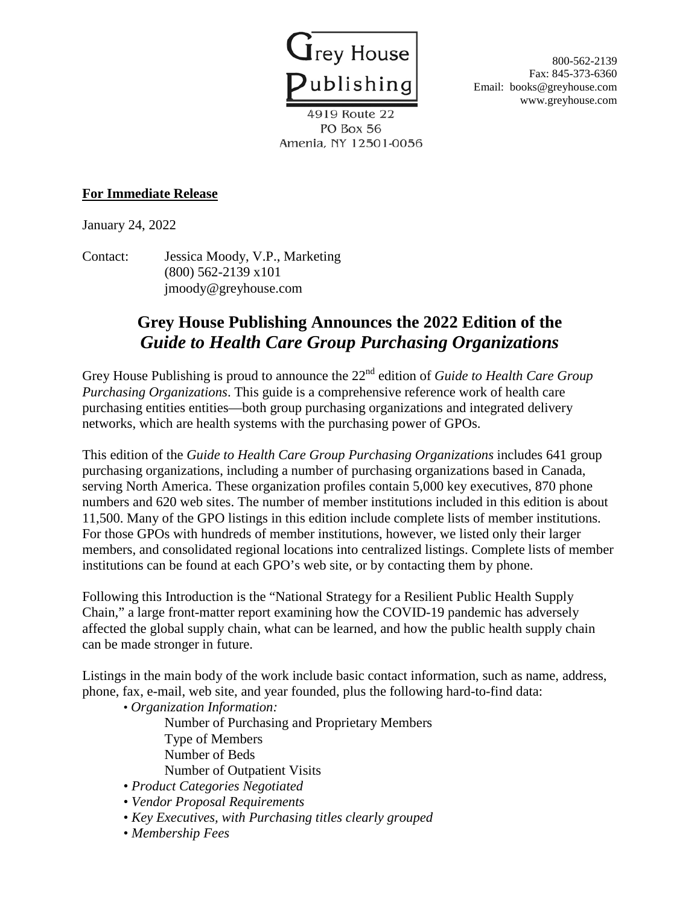

Fax: 845-373-6360 Email: books@greyhouse.com www.greyhouse.com

4919 Route 22 PO Box 56 Amenia, NY 12501-0056

## **For Immediate Release**

January 24, 2022

Contact: Jessica Moody, V.P., Marketing (800) 562-2139 x101 jmoody@greyhouse.com

## **Grey House Publishing Announces the 2022 Edition of the** *Guide to Health Care Group Purchasing Organizations*

Grey House Publishing is proud to announce the 22nd edition of *Guide to Health Care Group Purchasing Organizations*. This guide is a comprehensive reference work of health care purchasing entities entities—both group purchasing organizations and integrated delivery networks, which are health systems with the purchasing power of GPOs.

This edition of the *Guide to Health Care Group Purchasing Organizations* includes 641 group purchasing organizations, including a number of purchasing organizations based in Canada, serving North America. These organization profiles contain 5,000 key executives, 870 phone numbers and 620 web sites. The number of member institutions included in this edition is about 11,500. Many of the GPO listings in this edition include complete lists of member institutions. For those GPOs with hundreds of member institutions, however, we listed only their larger members, and consolidated regional locations into centralized listings. Complete lists of member institutions can be found at each GPO's web site, or by contacting them by phone.

Following this Introduction is the "National Strategy for a Resilient Public Health Supply Chain," a large front-matter report examining how the COVID-19 pandemic has adversely affected the global supply chain, what can be learned, and how the public health supply chain can be made stronger in future.

Listings in the main body of the work include basic contact information, such as name, address, phone, fax, e-mail, web site, and year founded, plus the following hard-to-find data:

- *Organization Information:* Number of Purchasing and Proprietary Members Type of Members Number of Beds Number of Outpatient Visits
- *Product Categories Negotiated*
- *Vendor Proposal Requirements*
- *Key Executives, with Purchasing titles clearly grouped*
- *Membership Fees*